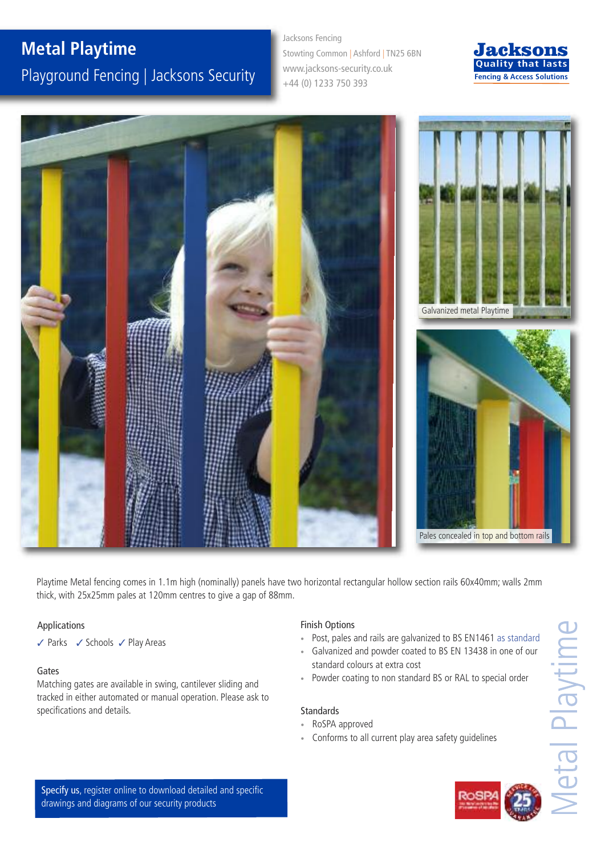# **Metal Playtime** Playground Fencing | Jacksons Security

Jacksons Fencing Stowting Common | Ashford | TN25 6BN www.jacksons-security.co.uk +44 (0) 1233 750 393





Playtime Metal fencing comes in 1.1m high (nominally) panels have two horizontal rectangular hollow section rails 60x40mm; walls 2mm thick, with 25x25mm pales at 120mm centres to give a gap of 88mm.

### Applications

 $\checkmark$  Parks  $\checkmark$  Schools  $\checkmark$  Play Areas

### Gates

Matching gates are available in swing, cantilever sliding and tracked in either automated or manual operation. Please ask to specifications and details. Standards Standards

### Finish Options

- Post, pales and rails are galvanized to BS EN1461 as standard
- Galvanized and powder coated to BS EN 13438 in one of our standard colours at extra cost
- Powder coating to non standard BS or RAL to special order

- RoSPA approved
- Conforms to all current play area safety guidelines

Specify us, register online to download detailed and specific drawings and diagrams of our security products